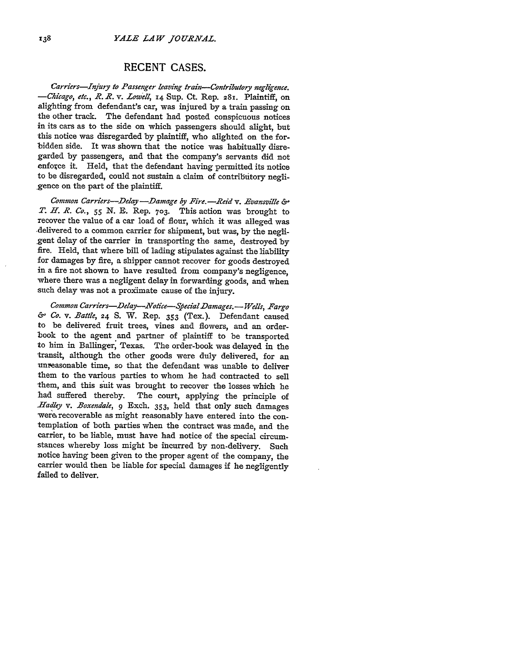## **RECENT CASES.**

*Carriers-Injury to Passenger leaving train-Contributory negligence. -Chicago, etc., R. R. v. Lowell,* 14 Sup. Ct. Rep. **281.** Plaintiff, on alighting from defendant's car, was injured by a train passing on the other track. The defendant had posted conspicuous notices in its cars as to the side on which passengers should alight, but this notice was disregarded **by** plaintiff, who alighted on the forbidden side. It was shown that the notice was habitually disregarded by passengers, and that the company's servants did not enfovce it. Held, that the defendant having permitted its notice to be disregarded, could not sustain a claim of contributory negligence on the part of the plaintiff.

*Common Carriers-Delay -Damage by Fire. -Reid v. Evansville* **&-** *2. H. R. CO., 55 N.* E. Rep. **703.** This action was brought to recover the value of a car load of flour, which it was alleged was delivered to a common carrier for shipment, but was, by the negligent delay of the carrier in transporting the same, destroyed **by** fire. Held, that where bill of lading stipulates against the liability for damages by fire, a shipper cannot recover for goods destroyed in a fire not shown to have resulted from company's negligence, where there was a negligent delay in forwarding goods, and when such delay was not a proximate cause of the injury.

*Common Carriers-Delay-Notice-Secial Damages.- Wells, Fargo & Co. v. Battle,* 24 **S.** W. Rep. 353 (Tex.). Defendant caused to be delivered fruit trees, vines and flowers, and an orderbook to the agent and partner of plaintiff to be transported to him in Ballinger, Texas. The order-book was delayed in the transit, although the other goods were duly delivered, for an unreasonable time, so that the defendant was unable to deliver them to the various parties to whom he had contracted to sell them, and this suit was brought to recover the losses which he had suffered thereby. The court, applying the principle of *Iadley v. Boxendale, 9* Exch. 353, held that only such damages were recoverable as might reasonably have entered into the contemplation of both parties when the contract was made, and the carrier, to be liable, must have had notice of the special circumstances whereby loss might be incurred by non-delivery. Such notice having been given to the proper agent of the company, the carrier would then be liable for special damages if he negligently failed to deliver.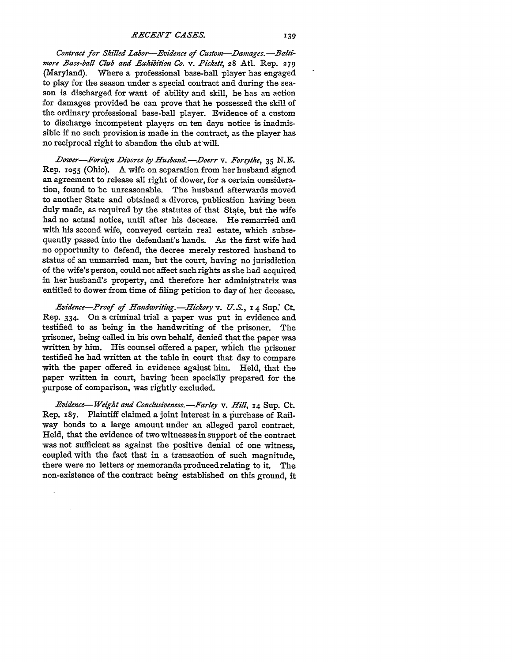*RECENT CASES.*

Contract for Skilled Labor-Evidence of Custom-Damages.-Balti*more Base-ball Club and Exhibition Co. v. Pickett,* **28** At. Rep. **<sup>279</sup>** (Maryland). Where a professional base-ball player has engaged to play for the season under a special contract and during the season is discharged for want of ability and skill, he has an action for damages provided he can prove that he possessed the skill of the ordinary professional base-ball player. Evidence of a custom to discharge incompetent players on ten days notice is inadmissible if no such provision is made in the contract, as the player has no reciprocal right to abandon the club atwill.

*Dower-Foreign Divorce by Husband. -Doerr v. Forsythe,* 35 N.E. Rep. 1o55 (Ohio). A wife on separation from her husband signed an agreement to release all right of dower, for a certain consideration, found to be unreasonable. The husband afterwards moved to another State and obtained a divorce, publication having been duly made, as required by the statutes of that State, but the wife had no actual notice, until after his decease. He remarried and with his second wife, conveyed certain real estate, which subsequently passed into the defendant's hands. As the first wife had no opportunity to defend, the decree merely restored husband to status of an unmarried man, but the court, having no jurisdiction of the wife's person, could not affect such rights as she had acquired in her husband's property, and therefore her administratrix was entitled to dower from time of filing petition to day of her decease.

*Evidence-Proof of Handwriting. -Hickory* v. *U.S., 1* 4 Sup: Ct. Rep. 334. On a criminal trial a paper was put in evidence and testified to as being in the handwriting of the prisoner. The prisoner, being called in his own behalf, denied that the paper was written by him. His counsel offered a paper, which the prisoner testified he had written at the table in court that day to compare with the paper offered in evidence against him. Held, that the paper written in court, having been specially prepared for the purpose of comparison, was rightly excluded.

*Evidence- Weight and Conclusiveness. -Farley v. Hill,* 14 Sup. Ct. Rep. 187. Plaintiff claimed a joint interest in a purchase of Railway bonds to a large amount under an alleged parol contract. Held, that the evidence of two witnesses in support of the contract was not sufficient as against the positive denial of one witness, coupled with the fact that in a transaction of such magnitude, there were no letters or memoranda produced relating to it. The non-existence of the contract being established on this ground, it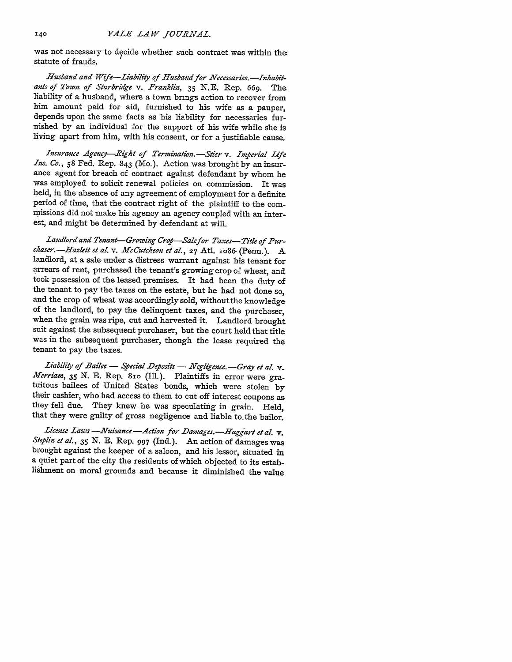was not necessary to decide whether such contract was within the statute of frauds.

Husband and Wife-Liability of Husband for Necessaries.-Inhabit*ants of Town of Sturbridge v. Franklin,* 35 N.E. Rep. *669.* The liability of a husband, where a town brings action to recover from him amount paid for aid, furnished to his wife as a pauper, depends upon the same facts as his liability for necessaries furnished by an individual for the support of his wife while she is living apart from him, with his consent, or for a justifiable cause.

*Insurance Agency-Right of Termination.-Sier v. Inperial Life Ins. Co., 58* Fed. Rep. 843 (Mo.). Action was brought by aninsurance agent for breach of contract against defendant by whom he was employed to solicit renewal policies on commission. It was held, in the absence of any agreement of employment for a definite period of time, that the contract right of the plaintiff to the commissions did not make his agency an agency coupled with an interest, and might be determined by defendant at will.

*Landlord and Tenant-Growing Crqp-Salefor Taxes- Title of Purchaser.-Hazlett et al. v. AfcCutcheon et al.,* **27** Atl. io86 (Penn.). A landlord, at a sale. under a distress warrant against his tenant for arrears of rent, purchased the tenant's growing crop of wheat, and took possession of the leased premises. It had been the duty of the tenant to pay the taxes on the estate, but he had not done so, and the crop of wheat was accordingly sold, without the knowledge of the landlord, to pay the delinquent taxes, and the purchaser, when the grain was ripe, cut and harvested it. Landlord brought suit against the subsequent purchaser, but the court held that title was in the subsequent purchaser, though the lease required the tenant to pay the taxes.

Liability of Bailee - Special Deposits - Negligence.-Gray et al. **v**. *Merriam, 35 N.* **E.** Rep. **81o** (Ill.). Plaintiffs in error were gra- tuitous bailees of United States bonds, which were stolen by their cashier, who had access to them to cut off interest coupons as they fell due. They knew he was speculating in grain. Held, that they were guilty of gross negligence and liable to.the bailor.

License Laws -- Nuisance -- Action for Damages. -- Haggart et al. v. *Steplin et al,* 35 N. E. Rep. 997 (Ind.). An action of damages was brought against the keeper of a saloon, and his lessor, situated in a quiet part of the city the residents of which objected to its establishment on moral grounds and because it diminished the value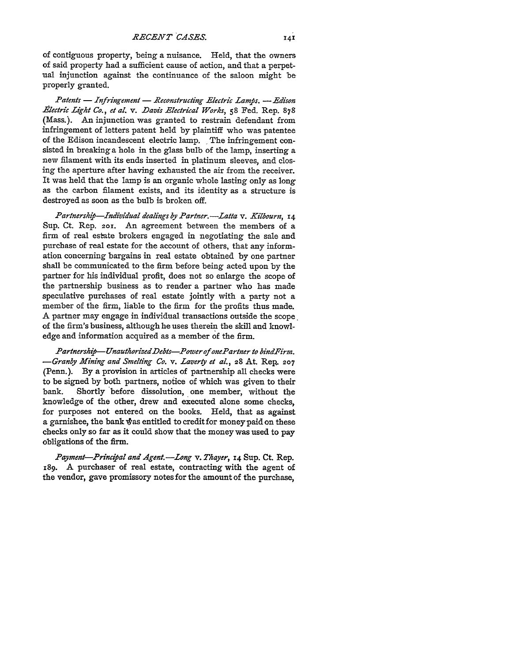of contiguous property, being a nuisance. Held, that the owners of said property had a sufficient cause of action, and that a perpetual injunction against the continuance of the saloon might be properly granted.

*Patents - Infringement* - *Reconstructing Electric Lamps.* - *Edison tlectric Light Co., et at. v. .Davis Electrical Works,* 58 Fed. Rep. 878 (Mass.). An injunction was granted to restrain defendant from infringement of letters patent held by plaintiff who was patentee of the Edison incandescent electric lamp. The infringement consisted in breaking a hole in the glass bulb of the lamp, inserting a new filament with its ends inserted in platinum sleeves, and closing the aperture after having exhausted the air from the receiver. It was held that the lamp is an organic whole lasting only as long as the carbon filament exists, and its identity as a structure is destroyed as soon as the bulb is broken off.

*Partnershp-Individual dealings by Partner.-.Latta v. Kilbourn,* **<sup>14</sup>** Sup. Ct. Rep. **2o.** An agreement between the members of a firm of real estate brokers engaged in negotiating the sale and purchase of real estate for the account of others, that any information concerning bargains in real estate obtained **by** one partner shall be communicated to the firm before being acted upon by the partner for his individual profit, does not so enlarge the scope of the partnership business as to render a partner who has made speculative purchases of real estate jointly with a party not a member of the firm, liable to the firm for the profits thus made. A partner may engage in individual transactions outside the scope of the firm's business, although he uses therein the skill and knowledge and information acquired as a member of the firm.

*Partnershp-UnauthaorizedDebts-Power* of *onePartner to bind2irm. -Granby Mining and Smelting Co. v. Laverty et al.,* **28** At. Rep. **207** (Penn.). **By** a provision in articles of partnership all checks were to be signed by both partners, notice of which was given to their bank. Shortly before dissolution, one member, without the knowledge of the other, drew and executed alone some checks, for purposes not entered on the books. Held, that as against a garnishee, the bank was entitled to credit for money paid on these checks only so far as it could show that the money was used to pay obligations of the firm.

Payment-Principal and Agent.-Long v. Thayer, 14 Sup. Ct. Rep. z89. **A** purchaser of real estate, contracting with the agent of the vendor, gave promissory notes for the amount of the purchase,